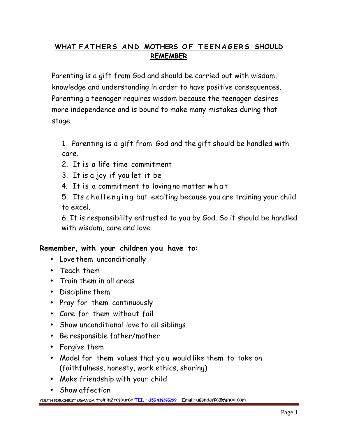## **WHAT F A T H E R S A N D MOTHERS O F T E E N A G E R S SHOULD REMEMBER**

Parenting is a gift from God and should be carried out with wisdom, knowledge and understanding in order to have positive consequences. Parenting a teenager requires wisdom because the teenager desires more independence and is bound to make many mistakes during that stage.

1. Parenting is a gift from God and the gift should be handled with care.

- 2. It is a life time commitment
- 3. It is a joy if you let it be
- 

4. It is a commitment to loving no matter w h a t<br>5. Its challenging but exciting because you are training your child care.<br>2. It is a life time commitment<br>3. It is a joy if you let it be<br>4. It is a commitment to loving no matter what<br>5. Its challenging but exciting because you are training your child<br>to excel. to excel.

6. It is responsibility entrusted to you by God. So it should be handled with wisdom, care and love.

## **Remember, with your children you have to:**

- Love them unconditionally
- Teach them
- Train them in all areas
- Discipline them
- Pray for them continuously
- Care for them without fail
- Show unconditional love to all siblings
- Be responsible father/mother
- Forgive them
- Model for them values that you would like them to take on (faithfulness, honesty, work ethics, sharing)
- Make friendship with your child
- Show affection

**YOUTH FOR CHRIST UGANDA training resource TEL :+256 414346299 Email: ugandayfc@yahoo.com**